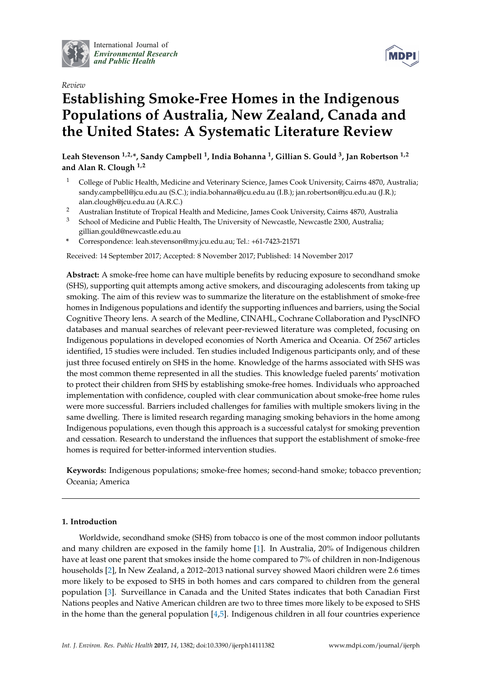

International Journal of *[Environmental Research](http://www.mdpi.com/journal/ijerph) and Public Health*



# *Review* **Establishing Smoke-Free Homes in the Indigenous Populations of Australia, New Zealand, Canada and the United States: A Systematic Literature Review**

**Leah Stevenson 1,2,\*, Sandy Campbell <sup>1</sup> , India Bohanna <sup>1</sup> , Gillian S. Gould <sup>3</sup> , Jan Robertson 1,2 and Alan R. Clough 1,2**

- <sup>1</sup> College of Public Health, Medicine and Veterinary Science, James Cook University, Cairns 4870, Australia; sandy.campbell@jcu.edu.au (S.C.); india.bohanna@jcu.edu.au (I.B.); jan.robertson@jcu.edu.au (J.R.); alan.clough@jcu.edu.au (A.R.C.)
- <sup>2</sup> Australian Institute of Tropical Health and Medicine, James Cook University, Cairns 4870, Australia
- <sup>3</sup> School of Medicine and Public Health, The University of Newcastle, Newcastle 2300, Australia; gillian.gould@newcastle.edu.au
- **\*** Correspondence: leah.stevenson@my.jcu.edu.au; Tel.: +61-7423-21571

Received: 14 September 2017; Accepted: 8 November 2017; Published: 14 November 2017

**Abstract:** A smoke-free home can have multiple benefits by reducing exposure to secondhand smoke (SHS), supporting quit attempts among active smokers, and discouraging adolescents from taking up smoking. The aim of this review was to summarize the literature on the establishment of smoke-free homes in Indigenous populations and identify the supporting influences and barriers, using the Social Cognitive Theory lens. A search of the Medline, CINAHL, Cochrane Collaboration and PyscINFO databases and manual searches of relevant peer-reviewed literature was completed, focusing on Indigenous populations in developed economies of North America and Oceania. Of 2567 articles identified, 15 studies were included. Ten studies included Indigenous participants only, and of these just three focused entirely on SHS in the home. Knowledge of the harms associated with SHS was the most common theme represented in all the studies. This knowledge fueled parents' motivation to protect their children from SHS by establishing smoke-free homes. Individuals who approached implementation with confidence, coupled with clear communication about smoke-free home rules were more successful. Barriers included challenges for families with multiple smokers living in the same dwelling. There is limited research regarding managing smoking behaviors in the home among Indigenous populations, even though this approach is a successful catalyst for smoking prevention and cessation. Research to understand the influences that support the establishment of smoke-free homes is required for better-informed intervention studies.

**Keywords:** Indigenous populations; smoke-free homes; second-hand smoke; tobacco prevention; Oceania; America

## **1. Introduction**

Worldwide, secondhand smoke (SHS) from tobacco is one of the most common indoor pollutants and many children are exposed in the family home [\[1\]](#page-12-0). In Australia, 20% of Indigenous children have at least one parent that smokes inside the home compared to 7% of children in non-Indigenous households [\[2\]](#page-12-1), In New Zealand, a 2012–2013 national survey showed Maori children were 2.6 times more likely to be exposed to SHS in both homes and cars compared to children from the general population [\[3\]](#page-12-2). Surveillance in Canada and the United States indicates that both Canadian First Nations peoples and Native American children are two to three times more likely to be exposed to SHS in the home than the general population [\[4,](#page-12-3)[5\]](#page-12-4). Indigenous children in all four countries experience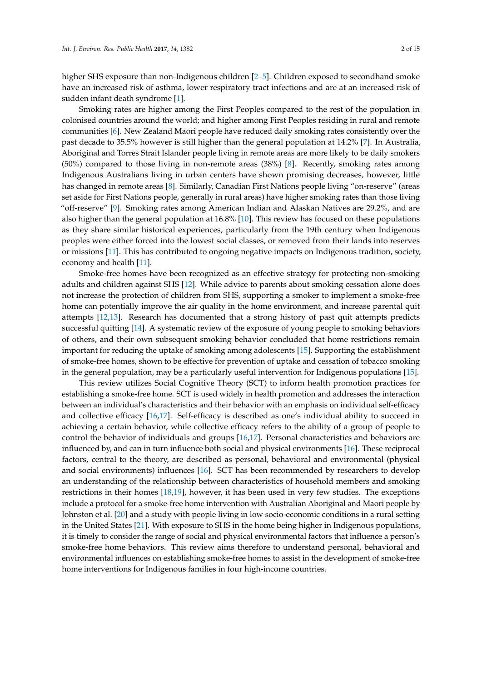higher SHS exposure than non-Indigenous children [\[2](#page-12-1)[–5\]](#page-12-4). Children exposed to secondhand smoke have an increased risk of asthma, lower respiratory tract infections and are at an increased risk of sudden infant death syndrome [\[1\]](#page-12-0).

Smoking rates are higher among the First Peoples compared to the rest of the population in colonised countries around the world; and higher among First Peoples residing in rural and remote communities [\[6\]](#page-12-5). New Zealand Maori people have reduced daily smoking rates consistently over the past decade to 35.5% however is still higher than the general population at 14.2% [\[7\]](#page-12-6). In Australia, Aboriginal and Torres Strait Islander people living in remote areas are more likely to be daily smokers (50%) compared to those living in non-remote areas (38%) [\[8\]](#page-12-7). Recently, smoking rates among Indigenous Australians living in urban centers have shown promising decreases, however, little has changed in remote areas [\[8\]](#page-12-7). Similarly, Canadian First Nations people living "on-reserve" (areas set aside for First Nations people, generally in rural areas) have higher smoking rates than those living "off-reserve" [\[9\]](#page-12-8). Smoking rates among American Indian and Alaskan Natives are 29.2%, and are also higher than the general population at 16.8% [\[10\]](#page-12-9). This review has focused on these populations as they share similar historical experiences, particularly from the 19th century when Indigenous peoples were either forced into the lowest social classes, or removed from their lands into reserves or missions [\[11\]](#page-12-10). This has contributed to ongoing negative impacts on Indigenous tradition, society, economy and health [\[11\]](#page-12-10).

Smoke-free homes have been recognized as an effective strategy for protecting non-smoking adults and children against SHS [\[12\]](#page-12-11). While advice to parents about smoking cessation alone does not increase the protection of children from SHS, supporting a smoker to implement a smoke-free home can potentially improve the air quality in the home environment, and increase parental quit attempts [\[12,](#page-12-11)[13\]](#page-12-12). Research has documented that a strong history of past quit attempts predicts successful quitting [\[14\]](#page-12-13). A systematic review of the exposure of young people to smoking behaviors of others, and their own subsequent smoking behavior concluded that home restrictions remain important for reducing the uptake of smoking among adolescents [\[15\]](#page-12-14). Supporting the establishment of smoke-free homes, shown to be effective for prevention of uptake and cessation of tobacco smoking in the general population, may be a particularly useful intervention for Indigenous populations [\[15\]](#page-12-14).

This review utilizes Social Cognitive Theory (SCT) to inform health promotion practices for establishing a smoke-free home. SCT is used widely in health promotion and addresses the interaction between an individual's characteristics and their behavior with an emphasis on individual self-efficacy and collective efficacy [\[16](#page-12-15)[,17\]](#page-12-16). Self-efficacy is described as one's individual ability to succeed in achieving a certain behavior, while collective efficacy refers to the ability of a group of people to control the behavior of individuals and groups [\[16](#page-12-15)[,17\]](#page-12-16). Personal characteristics and behaviors are influenced by, and can in turn influence both social and physical environments [\[16\]](#page-12-15). These reciprocal factors, central to the theory, are described as personal, behavioral and environmental (physical and social environments) influences [\[16\]](#page-12-15). SCT has been recommended by researchers to develop an understanding of the relationship between characteristics of household members and smoking restrictions in their homes [\[18,](#page-12-17)[19\]](#page-12-18), however, it has been used in very few studies. The exceptions include a protocol for a smoke-free home intervention with Australian Aboriginal and Maori people by Johnston et al. [\[20\]](#page-13-0) and a study with people living in low socio-economic conditions in a rural setting in the United States [\[21\]](#page-13-1). With exposure to SHS in the home being higher in Indigenous populations, it is timely to consider the range of social and physical environmental factors that influence a person's smoke-free home behaviors. This review aims therefore to understand personal, behavioral and environmental influences on establishing smoke-free homes to assist in the development of smoke-free home interventions for Indigenous families in four high-income countries.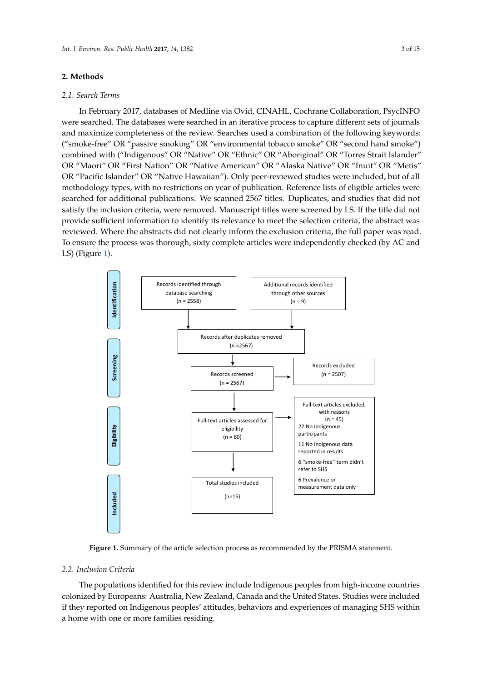## **2. Methods**

## *2.1. Search Terms*

In February 2017, databases of Medline via Ovid, CINAHL, Cochrane Collaboration, PsycINFO were searched. The databases were searched in an iterative process to capture different sets of journals and maximize completeness of the review. Searches used a combination of the following keywords: ("smoke-free" OR "passive smoking" OR "environmental tobacco smoke" OR "second hand smoke") combined with ("Indigenous" OR "Native" OR "Ethnic" OR "Aboriginal" OR "Torres Strait Islander" *Int. J. Environ. Res. Public Health* **2017**, *14*, 1382 3 of 14 OR "Maori" OR "First Nation" OR "Native American" OR "Alaska Native" OR "Inuit" OR "Metis" OR "Pacific Islander" OR "Native Hawaiian"). Only peer-reviewed studies were included, but of all methodology types, with no restrictions on year of publication. Reference lists of eligible articles were searched for additional publications. We scanned 2567 titles. Duplicates, and studies that did not satisfy the inclusion criteria, were removed. Manuscript titles were screened by LS. If the title did not satisfy provide sufficient information to identify its relevance to meet the selection criteria, the abstract was reviewed. Where the abstracts did not clearly inform the exclusion criteria, the full paper was read. To ensure the process was thorough, sixty complete articles were independently checked (by AC and LS) (Figure [1\)](#page-2-0). inclusion criteria, were reflioved. Manuscript thes were screened by E3. If the  $\iota$ criteria, the absolution of abstracts were the absolution of checked.  $\Gamma$ . To ensure the process was those sixty complete articles was thorough, sixty complete articles were the process were the process was thorough, sixty complete articles was thorough, sixty complete articles was the pro

<span id="page-2-0"></span>

**Figure 1.** Summary of the article selection process as recommended by the PRISMA statement. **Figure 1.** Summary of the article selection process as recommended by the PRISMA statement.

#### $T$  is review in contractions include  $T$  this review in  $\mathcal{L}$  review in  $\mathcal{L}$ *2.2. Inclusion Criteria*

countries colonized by Europeans: Australia, New Zealand, Canada and the United States. Studies The populations identified for this review include Indigenous peoples from high-income countries colonized by Europeans: Australia, New Zealand, Canada and the United States. Studies were included if they reported on Indigenous peoples' attitudes, behaviors and experiences of managing SHS within a home with one or more families residing.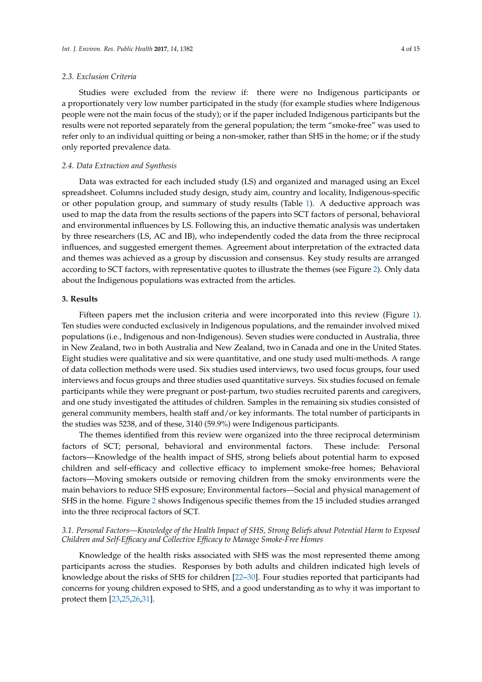#### *2.3. Exclusion Criteria*

Studies were excluded from the review if: there were no Indigenous participants or a proportionately very low number participated in the study (for example studies where Indigenous people were not the main focus of the study); or if the paper included Indigenous participants but the results were not reported separately from the general population; the term "smoke-free" was used to refer only to an individual quitting or being a non-smoker, rather than SHS in the home; or if the study only reported prevalence data.

#### *2.4. Data Extraction and Synthesis*

Data was extracted for each included study (LS) and organized and managed using an Excel spreadsheet. Columns included study design, study aim, country and locality, Indigenous-specific or other population group, and summary of study results (Table [1\)](#page-5-0). A deductive approach was used to map the data from the results sections of the papers into SCT factors of personal, behavioral and environmental influences by LS. Following this, an inductive thematic analysis was undertaken by three researchers (LS, AC and IB), who independently coded the data from the three reciprocal influences, and suggested emergent themes. Agreement about interpretation of the extracted data and themes was achieved as a group by discussion and consensus. Key study results are arranged according to SCT factors, with representative quotes to illustrate the themes (see Figure [2\)](#page-6-0). Only data about the Indigenous populations was extracted from the articles.

## **3. Results**

Fifteen papers met the inclusion criteria and were incorporated into this review (Figure [1\)](#page-2-0). Ten studies were conducted exclusively in Indigenous populations, and the remainder involved mixed populations (i.e., Indigenous and non-Indigenous). Seven studies were conducted in Australia, three in New Zealand, two in both Australia and New Zealand, two in Canada and one in the United States. Eight studies were qualitative and six were quantitative, and one study used multi-methods. A range of data collection methods were used. Six studies used interviews, two used focus groups, four used interviews and focus groups and three studies used quantitative surveys. Six studies focused on female participants while they were pregnant or post-partum, two studies recruited parents and caregivers, and one study investigated the attitudes of children. Samples in the remaining six studies consisted of general community members, health staff and/or key informants. The total number of participants in the studies was 5238, and of these, 3140 (59.9%) were Indigenous participants.

The themes identified from this review were organized into the three reciprocal determinism factors of SCT; personal, behavioral and environmental factors. These include: Personal factors—Knowledge of the health impact of SHS, strong beliefs about potential harm to exposed children and self-efficacy and collective efficacy to implement smoke-free homes; Behavioral factors—Moving smokers outside or removing children from the smoky environments were the main behaviors to reduce SHS exposure; Environmental factors—Social and physical management of SHS in the home. Figure [2](#page-6-0) shows Indigenous specific themes from the 15 included studies arranged into the three reciprocal factors of SCT.

## *3.1. Personal Factors—Knowledge of the Health Impact of SHS, Strong Beliefs about Potential Harm to Exposed Children and Self-Efficacy and Collective Efficacy to Manage Smoke-Free Homes*

Knowledge of the health risks associated with SHS was the most represented theme among participants across the studies. Responses by both adults and children indicated high levels of knowledge about the risks of SHS for children [\[22](#page-13-2)[–30\]](#page-13-3). Four studies reported that participants had concerns for young children exposed to SHS, and a good understanding as to why it was important to protect them [\[23](#page-13-4)[,25](#page-13-5)[,26](#page-13-6)[,31\]](#page-13-7).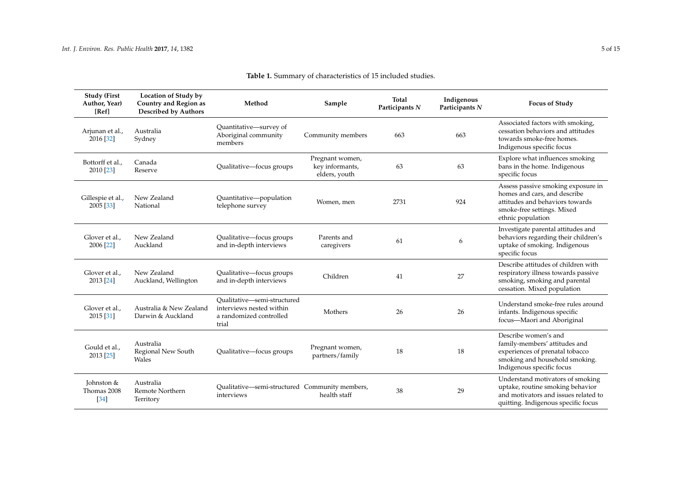| <b>Study (First</b><br>Author, Year)<br>[Ref] | Location of Study by<br><b>Country and Region as</b><br><b>Described by Authors</b> | Method                                                                                      | Sample                                              | Total<br>Participants N | Indigenous<br>Participants N | <b>Focus of Study</b>                                                                                                                                    |
|-----------------------------------------------|-------------------------------------------------------------------------------------|---------------------------------------------------------------------------------------------|-----------------------------------------------------|-------------------------|------------------------------|----------------------------------------------------------------------------------------------------------------------------------------------------------|
| Arjunan et al.,<br>2016 [32]                  | Australia<br>Sydney                                                                 | Quantitative-survey of<br>Aboriginal community<br>members                                   | Community members                                   | 663                     | 663                          | Associated factors with smoking,<br>cessation behaviors and attitudes<br>towards smoke-free homes.<br>Indigenous specific focus                          |
| Bottorff et al.,<br>2010 [23]                 | Canada<br>Reserve                                                                   | Qualitative-focus groups                                                                    | Pregnant women,<br>key informants,<br>elders, youth | 63                      | 63                           | Explore what influences smoking<br>bans in the home. Indigenous<br>specific focus                                                                        |
| Gillespie et al.,<br>2005 [33]                | New Zealand<br>National                                                             | Quantitative-population<br>telephone survey                                                 | Women, men                                          | 2731                    | 924                          | Assess passive smoking exposure in<br>homes and cars, and describe<br>attitudes and behaviors towards<br>smoke-free settings. Mixed<br>ethnic population |
| Glover et al.,<br>2006 [22]                   | New Zealand<br>Auckland                                                             | Qualitative-focus groups<br>and in-depth interviews                                         | Parents and<br>caregivers                           | 61                      | 6                            | Investigate parental attitudes and<br>behaviors regarding their children's<br>uptake of smoking. Indigenous<br>specific focus                            |
| Glover et al.,<br>2013 [24]                   | New Zealand<br>Auckland, Wellington                                                 | Qualitative-focus groups<br>and in-depth interviews                                         | Children                                            | 41                      | 27                           | Describe attitudes of children with<br>respiratory illness towards passive<br>smoking, smoking and parental<br>cessation. Mixed population               |
| Glover et al.,<br>2015 [31]                   | Australia & New Zealand<br>Darwin & Auckland                                        | Qualitative-semi-structured<br>interviews nested within<br>a randomized controlled<br>trial | Mothers                                             | 26                      | 26                           | Understand smoke-free rules around<br>infants. Indigenous specific<br>focus-Maori and Aboriginal                                                         |
| Gould et al.,<br>2013 [25]                    | Australia<br>Regional New South<br>Wales                                            | Qualitative-focus groups                                                                    | Pregnant women,<br>partners/family                  | 18                      | 18                           | Describe women's and<br>family-members' attitudes and<br>experiences of prenatal tobacco<br>smoking and household smoking.<br>Indigenous specific focus  |
| Johnston &<br>Thomas 2008<br>[34]             | Australia<br><b>Remote Northern</b><br>Territory                                    | Qualitative—semi-structured Community members,<br>interviews                                | health staff                                        | 38                      | 29                           | Understand motivators of smoking<br>uptake, routine smoking behavior<br>and motivators and issues related to<br>quitting. Indigenous specific focus      |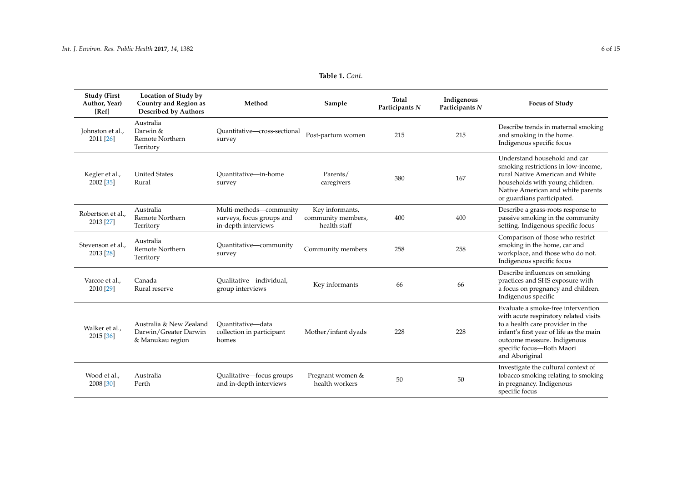<span id="page-5-0"></span>

| <b>Study (First</b><br>Author, Year)<br>[Ref] | <b>Location of Study by</b><br>Country and Region as<br><b>Described by Authors</b> | Method                                                                      | Sample                                                | Total<br>Participants N | Indigenous<br>Participants N | <b>Focus of Study</b>                                                                                                                                                                                                                    |
|-----------------------------------------------|-------------------------------------------------------------------------------------|-----------------------------------------------------------------------------|-------------------------------------------------------|-------------------------|------------------------------|------------------------------------------------------------------------------------------------------------------------------------------------------------------------------------------------------------------------------------------|
| Johnston et al.,<br>2011 [26]                 | Australia<br>Darwin &<br><b>Remote Northern</b><br>Territory                        | Quantitative-cross-sectional<br>survey                                      | Post-partum women                                     | 215                     | 215                          | Describe trends in maternal smoking<br>and smoking in the home.<br>Indigenous specific focus                                                                                                                                             |
| Kegler et al.,<br>$2002$ [35]                 | <b>United States</b><br>Rural                                                       | Ouantitative-in-home<br>survey                                              | Parents/<br>caregivers                                | 380                     | 167                          | Understand household and car<br>smoking restrictions in low-income,<br>rural Native American and White<br>households with young children.<br>Native American and white parents<br>or guardians participated.                             |
| Robertson et al.,<br>2013 [27]                | Australia<br><b>Remote Northern</b><br>Territory                                    | Multi-methods-community<br>surveys, focus groups and<br>in-depth interviews | Key informants,<br>community members,<br>health staff | 400                     | 400                          | Describe a grass-roots response to<br>passive smoking in the community<br>setting. Indigenous specific focus                                                                                                                             |
| Stevenson et al.,<br>2013 [28]                | Australia<br>Remote Northern<br>Territory                                           | Quantitative-community<br>survey                                            | Community members                                     | 258                     | 258                          | Comparison of those who restrict<br>smoking in the home, car and<br>workplace, and those who do not.<br>Indigenous specific focus                                                                                                        |
| Varcoe et al<br>2010 [29]                     | Canada<br>Rural reserve                                                             | Oualitative-individual,<br>group interviews                                 | Key informants                                        | 66                      | 66                           | Describe influences on smoking<br>practices and SHS exposure with<br>a focus on pregnancy and children.<br>Indigenous specific                                                                                                           |
| Walker et al.,<br>2015 [36]                   | Australia & New Zealand<br>Darwin/Greater Darwin<br>& Manukau region                | Ouantitative-data<br>collection in participant<br>homes                     | Mother/infant dyads                                   | 228                     | 228                          | Evaluate a smoke-free intervention<br>with acute respiratory related visits<br>to a health care provider in the<br>infant's first year of life as the main<br>outcome measure. Indigenous<br>specific focus-Both Maori<br>and Aboriginal |
| Wood et al.,<br>2008 [30]                     | Australia<br>Perth                                                                  | Qualitative-focus groups<br>and in-depth interviews                         | Pregnant women &<br>health workers                    | 50                      | 50                           | Investigate the cultural context of<br>tobacco smoking relating to smoking<br>in pregnancy. Indigenous<br>specific focus                                                                                                                 |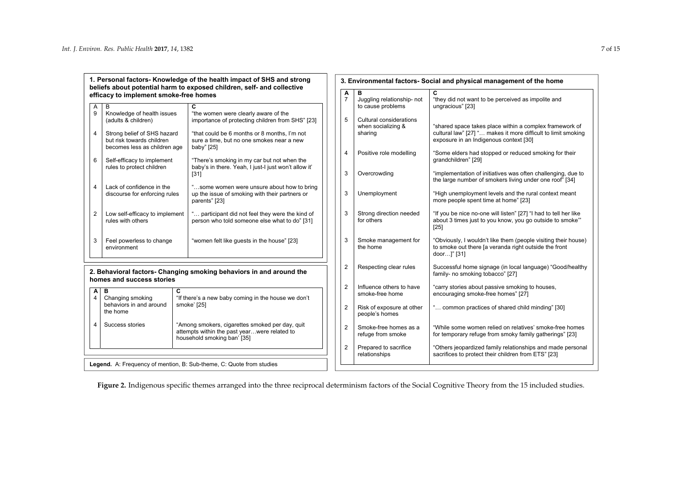**1. Personal factors- Knowledge of the health impact of SHS and strong beliefs about potential harm to exposed children, self- and collective efficacy to implement smoke-free homes** 

| A<br>9         | B<br>Knowledge of health issues<br>(adults & children)                                   | C<br>"the women were clearly aware of the<br>importance of protecting children from SHS" [23]                 |
|----------------|------------------------------------------------------------------------------------------|---------------------------------------------------------------------------------------------------------------|
| 4              | Strong belief of SHS hazard<br>but risk towards children<br>becomes less as children age | "that could be 6 months or 8 months, I'm not<br>sure a time, but no one smokes near a new<br>baby" [25]       |
| 6              | Self-efficacy to implement<br>rules to protect children                                  | "There's smoking in my car but not when the<br>baby's in there. Yeah, I just-I just won't allow it'<br>[31]   |
| 4              | Lack of confidence in the<br>discourse for enforcing rules                               | "some women were unsure about how to bring<br>up the issue of smoking with their partners or<br>parents" [23] |
| $\overline{2}$ | Low self-efficacy to implement<br>rules with others                                      | " participant did not feel they were the kind of<br>person who told someone else what to do" [31]             |
| 3              | Feel powerless to change<br>environment                                                  | "women felt like guests in the house" [23]                                                                    |

#### <span id="page-6-0"></span>**2. Behavioral factors- Changing smoking behaviors in and around the homes and success stories**

| 4 | Success stories | "Among smokers, cigarettes smoked per day, quit<br>attempts within the past yearwere related to<br>household smoking ban' [35] |
|---|-----------------|--------------------------------------------------------------------------------------------------------------------------------|

| Α<br>$\overline{7}$     | в<br>Juggling relationship- not<br>to cause problems     | C<br>"they did not want to be perceived as impolite and<br>ungracious" [23]                                                                                        |
|-------------------------|----------------------------------------------------------|--------------------------------------------------------------------------------------------------------------------------------------------------------------------|
| 5                       | Cultural considerations<br>when socializing &<br>sharing | "shared space takes place within a complex framework of<br>cultural law" [27] " makes it more difficult to limit smoking<br>exposure in an Indigenous context [30] |
| 4                       | Positive role modelling                                  | "Some elders had stopped or reduced smoking for their<br>qrandchildren" [29]                                                                                       |
| 3                       | Overcrowding                                             | "implementation of initiatives was often challenging, due to<br>the large number of smokers living under one roof" [34]                                            |
| 3                       | Unemployment                                             | "High unemployment levels and the rural context meant<br>more people spent time at home" [23]                                                                      |
| 3                       | Strong direction needed<br>for others                    | "If you be nice no-one will listen" [27] "I had to tell her like<br>about 3 times just to you know, you go outside to smoke"<br>$[25]$                             |
| 3                       | Smoke management for<br>the home                         | "Obviously, I wouldn't like them (people visiting their house)<br>to smoke out there [a veranda right outside the front<br>door]" [31]                             |
| $\overline{\mathbf{c}}$ | Respecting clear rules                                   | Successful home signage (in local language) "Good/healthy<br>family- no smoking tobacco" [27]                                                                      |
| $\overline{2}$          | Influence others to have<br>smoke-free home              | "carry stories about passive smoking to houses,<br>encouraging smoke-free homes" [27]                                                                              |
| $\overline{2}$          | Risk of exposure at other<br>people's homes              | " common practices of shared child minding" [30]                                                                                                                   |
| $\overline{2}$          | Smoke-free homes as a<br>refuge from smoke               | "While some women relied on relatives' smoke-free homes<br>for temporary refuge from smoky family gatherings" [23]                                                 |
| $\overline{2}$          | Prepared to sacrifice<br>relationships                   | "Others jeopardized family relationships and made personal<br>sacrifices to protect their children from ETS" [23]                                                  |

**3. Environmental factors- Social and physical management of the home**

**Legend.** A: Frequency of mention, B: Sub-theme, C: Quote from studies

Figure 2. Indigenous specific themes arranged into the three reciprocal determinism factors of the Social Cognitive Theory from the 15 included studies.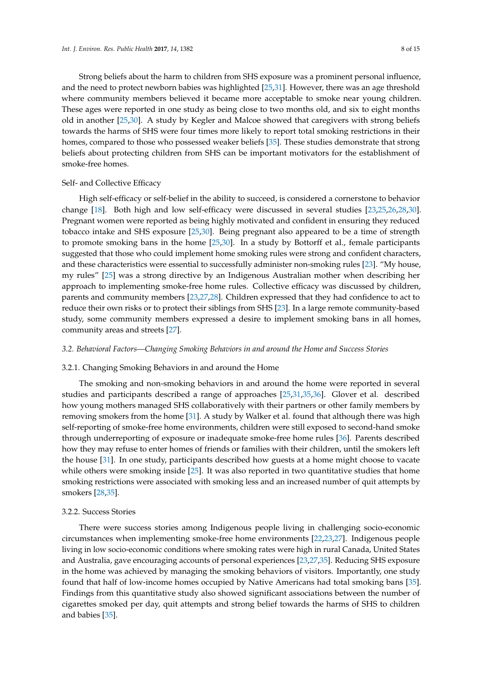Strong beliefs about the harm to children from SHS exposure was a prominent personal influence, and the need to protect newborn babies was highlighted [\[25,](#page-13-5)[31\]](#page-13-7). However, there was an age threshold where community members believed it became more acceptable to smoke near young children. These ages were reported in one study as being close to two months old, and six to eight months old in another [\[25](#page-13-5)[,30\]](#page-13-3). A study by Kegler and Malcoe showed that caregivers with strong beliefs towards the harms of SHS were four times more likely to report total smoking restrictions in their homes, compared to those who possessed weaker beliefs [\[35\]](#page-13-23). These studies demonstrate that strong beliefs about protecting children from SHS can be important motivators for the establishment of smoke-free homes.

#### Self- and Collective Efficacy

High self-efficacy or self-belief in the ability to succeed, is considered a cornerstone to behavior change [\[18\]](#page-12-17). Both high and low self-efficacy were discussed in several studies [\[23,](#page-13-4)[25,](#page-13-5)[26,](#page-13-6)[28,](#page-13-24)[30\]](#page-13-3). Pregnant women were reported as being highly motivated and confident in ensuring they reduced tobacco intake and SHS exposure [\[25](#page-13-5)[,30\]](#page-13-3). Being pregnant also appeared to be a time of strength to promote smoking bans in the home [\[25,](#page-13-5)[30\]](#page-13-3). In a study by Bottorff et al., female participants suggested that those who could implement home smoking rules were strong and confident characters, and these characteristics were essential to successfully administer non-smoking rules [\[23\]](#page-13-4). "My house, my rules" [\[25\]](#page-13-5) was a strong directive by an Indigenous Australian mother when describing her approach to implementing smoke-free home rules. Collective efficacy was discussed by children, parents and community members [\[23,](#page-13-4)[27,](#page-13-25)[28\]](#page-13-24). Children expressed that they had confidence to act to reduce their own risks or to protect their siblings from SHS [\[23\]](#page-13-4). In a large remote community-based study, some community members expressed a desire to implement smoking bans in all homes, community areas and streets [\[27\]](#page-13-25).

## *3.2. Behavioral Factors—Changing Smoking Behaviors in and around the Home and Success Stories*

#### 3.2.1. Changing Smoking Behaviors in and around the Home

The smoking and non-smoking behaviors in and around the home were reported in several studies and participants described a range of approaches [\[25,](#page-13-5)[31,](#page-13-7)[35,](#page-13-23)[36\]](#page-13-26). Glover et al. described how young mothers managed SHS collaboratively with their partners or other family members by removing smokers from the home [\[31\]](#page-13-7). A study by Walker et al. found that although there was high self-reporting of smoke-free home environments, children were still exposed to second-hand smoke through underreporting of exposure or inadequate smoke-free home rules [\[36\]](#page-13-26). Parents described how they may refuse to enter homes of friends or families with their children, until the smokers left the house [\[31\]](#page-13-7). In one study, participants described how guests at a home might choose to vacate while others were smoking inside [\[25\]](#page-13-5). It was also reported in two quantitative studies that home smoking restrictions were associated with smoking less and an increased number of quit attempts by smokers [\[28,](#page-13-24)[35\]](#page-13-23).

#### 3.2.2. Success Stories

There were success stories among Indigenous people living in challenging socio-economic circumstances when implementing smoke-free home environments [\[22,](#page-13-2)[23,](#page-13-4)[27\]](#page-13-25). Indigenous people living in low socio-economic conditions where smoking rates were high in rural Canada, United States and Australia, gave encouraging accounts of personal experiences [\[23,](#page-13-4)[27](#page-13-25)[,35\]](#page-13-23). Reducing SHS exposure in the home was achieved by managing the smoking behaviors of visitors. Importantly, one study found that half of low-income homes occupied by Native Americans had total smoking bans [\[35\]](#page-13-23). Findings from this quantitative study also showed significant associations between the number of cigarettes smoked per day, quit attempts and strong belief towards the harms of SHS to children and babies [\[35\]](#page-13-23).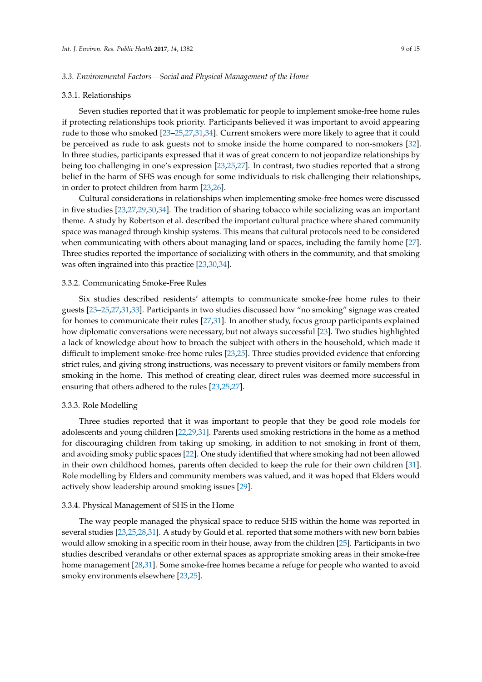### *3.3. Environmental Factors—Social and Physical Management of the Home*

#### 3.3.1. Relationships

Seven studies reported that it was problematic for people to implement smoke-free home rules if protecting relationships took priority. Participants believed it was important to avoid appearing rude to those who smoked [\[23–](#page-13-4)[25](#page-13-5)[,27](#page-13-25)[,31](#page-13-7)[,34\]](#page-13-27). Current smokers were more likely to agree that it could be perceived as rude to ask guests not to smoke inside the home compared to non-smokers [\[32\]](#page-13-28). In three studies, participants expressed that it was of great concern to not jeopardize relationships by being too challenging in one's expression [\[23,](#page-13-4)[25,](#page-13-5)[27\]](#page-13-25). In contrast, two studies reported that a strong belief in the harm of SHS was enough for some individuals to risk challenging their relationships, in order to protect children from harm [\[23,](#page-13-4)[26\]](#page-13-6).

Cultural considerations in relationships when implementing smoke-free homes were discussed in five studies [\[23](#page-13-4)[,27](#page-13-25)[,29](#page-13-29)[,30](#page-13-3)[,34\]](#page-13-27). The tradition of sharing tobacco while socializing was an important theme. A study by Robertson et al. described the important cultural practice where shared community space was managed through kinship systems. This means that cultural protocols need to be considered when communicating with others about managing land or spaces, including the family home [\[27\]](#page-13-25). Three studies reported the importance of socializing with others in the community, and that smoking was often ingrained into this practice [\[23](#page-13-4)[,30](#page-13-3)[,34\]](#page-13-27).

#### 3.3.2. Communicating Smoke-Free Rules

Six studies described residents' attempts to communicate smoke-free home rules to their guests [\[23](#page-13-4)[–25](#page-13-5)[,27](#page-13-25)[,31](#page-13-7)[,33\]](#page-13-30). Participants in two studies discussed how "no smoking" signage was created for homes to communicate their rules [\[27,](#page-13-25)[31\]](#page-13-7). In another study, focus group participants explained how diplomatic conversations were necessary, but not always successful [\[23\]](#page-13-4). Two studies highlighted a lack of knowledge about how to broach the subject with others in the household, which made it difficult to implement smoke-free home rules [\[23](#page-13-4)[,25\]](#page-13-5). Three studies provided evidence that enforcing strict rules, and giving strong instructions, was necessary to prevent visitors or family members from smoking in the home. This method of creating clear, direct rules was deemed more successful in ensuring that others adhered to the rules [\[23](#page-13-4)[,25](#page-13-5)[,27\]](#page-13-25).

#### 3.3.3. Role Modelling

Three studies reported that it was important to people that they be good role models for adolescents and young children [\[22](#page-13-2)[,29](#page-13-29)[,31\]](#page-13-7). Parents used smoking restrictions in the home as a method for discouraging children from taking up smoking, in addition to not smoking in front of them, and avoiding smoky public spaces [\[22\]](#page-13-2). One study identified that where smoking had not been allowed in their own childhood homes, parents often decided to keep the rule for their own children [\[31\]](#page-13-7). Role modelling by Elders and community members was valued, and it was hoped that Elders would actively show leadership around smoking issues [\[29\]](#page-13-29).

#### 3.3.4. Physical Management of SHS in the Home

The way people managed the physical space to reduce SHS within the home was reported in several studies [\[23,](#page-13-4)[25,](#page-13-5)[28,](#page-13-24)[31\]](#page-13-7). A study by Gould et al. reported that some mothers with new born babies would allow smoking in a specific room in their house, away from the children [\[25\]](#page-13-5). Participants in two studies described verandahs or other external spaces as appropriate smoking areas in their smoke-free home management [\[28,](#page-13-24)[31\]](#page-13-7). Some smoke-free homes became a refuge for people who wanted to avoid smoky environments elsewhere [\[23](#page-13-4)[,25\]](#page-13-5).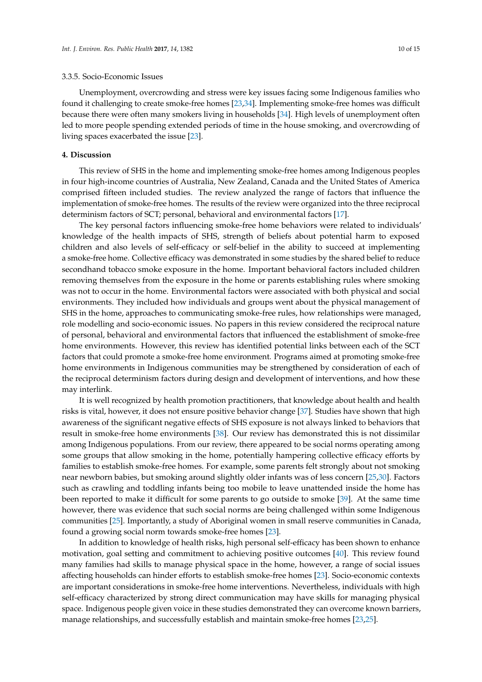### 3.3.5. Socio-Economic Issues

Unemployment, overcrowding and stress were key issues facing some Indigenous families who found it challenging to create smoke-free homes [\[23,](#page-13-4)[34\]](#page-13-27). Implementing smoke-free homes was difficult because there were often many smokers living in households [\[34\]](#page-13-27). High levels of unemployment often led to more people spending extended periods of time in the house smoking, and overcrowding of living spaces exacerbated the issue [\[23\]](#page-13-4).

## **4. Discussion**

This review of SHS in the home and implementing smoke-free homes among Indigenous peoples in four high-income countries of Australia, New Zealand, Canada and the United States of America comprised fifteen included studies. The review analyzed the range of factors that influence the implementation of smoke-free homes. The results of the review were organized into the three reciprocal determinism factors of SCT; personal, behavioral and environmental factors [\[17\]](#page-12-16).

The key personal factors influencing smoke-free home behaviors were related to individuals' knowledge of the health impacts of SHS, strength of beliefs about potential harm to exposed children and also levels of self-efficacy or self-belief in the ability to succeed at implementing a smoke-free home. Collective efficacy was demonstrated in some studies by the shared belief to reduce secondhand tobacco smoke exposure in the home. Important behavioral factors included children removing themselves from the exposure in the home or parents establishing rules where smoking was not to occur in the home. Environmental factors were associated with both physical and social environments. They included how individuals and groups went about the physical management of SHS in the home, approaches to communicating smoke-free rules, how relationships were managed, role modelling and socio-economic issues. No papers in this review considered the reciprocal nature of personal, behavioral and environmental factors that influenced the establishment of smoke-free home environments. However, this review has identified potential links between each of the SCT factors that could promote a smoke-free home environment. Programs aimed at promoting smoke-free home environments in Indigenous communities may be strengthened by consideration of each of the reciprocal determinism factors during design and development of interventions, and how these may interlink.

It is well recognized by health promotion practitioners, that knowledge about health and health risks is vital, however, it does not ensure positive behavior change [\[37\]](#page-13-31). Studies have shown that high awareness of the significant negative effects of SHS exposure is not always linked to behaviors that result in smoke-free home environments [\[38\]](#page-13-32). Our review has demonstrated this is not dissimilar among Indigenous populations. From our review, there appeared to be social norms operating among some groups that allow smoking in the home, potentially hampering collective efficacy efforts by families to establish smoke-free homes. For example, some parents felt strongly about not smoking near newborn babies, but smoking around slightly older infants was of less concern [\[25,](#page-13-5)[30\]](#page-13-3). Factors such as crawling and toddling infants being too mobile to leave unattended inside the home has been reported to make it difficult for some parents to go outside to smoke [\[39\]](#page-14-0). At the same time however, there was evidence that such social norms are being challenged within some Indigenous communities [\[25\]](#page-13-5). Importantly, a study of Aboriginal women in small reserve communities in Canada, found a growing social norm towards smoke-free homes [\[23\]](#page-13-4).

In addition to knowledge of health risks, high personal self-efficacy has been shown to enhance motivation, goal setting and commitment to achieving positive outcomes [\[40\]](#page-14-1). This review found many families had skills to manage physical space in the home, however, a range of social issues affecting households can hinder efforts to establish smoke-free homes [\[23\]](#page-13-4). Socio-economic contexts are important considerations in smoke-free home interventions. Nevertheless, individuals with high self-efficacy characterized by strong direct communication may have skills for managing physical space. Indigenous people given voice in these studies demonstrated they can overcome known barriers, manage relationships, and successfully establish and maintain smoke-free homes [\[23](#page-13-4)[,25\]](#page-13-5).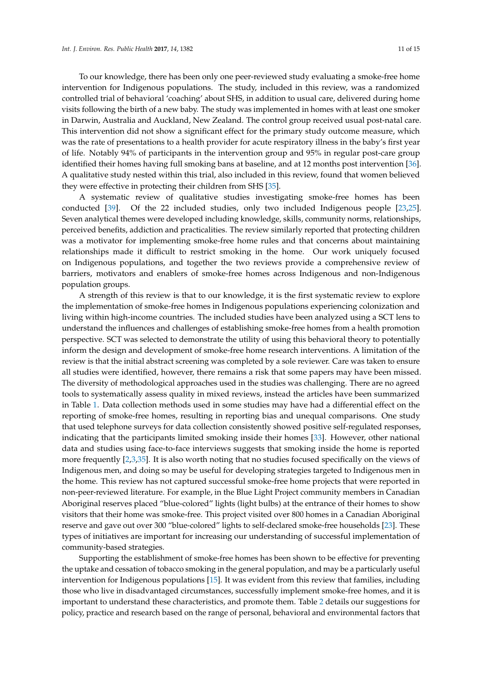To our knowledge, there has been only one peer-reviewed study evaluating a smoke-free home intervention for Indigenous populations. The study, included in this review, was a randomized controlled trial of behavioral 'coaching' about SHS, in addition to usual care, delivered during home visits following the birth of a new baby. The study was implemented in homes with at least one smoker in Darwin, Australia and Auckland, New Zealand. The control group received usual post-natal care. This intervention did not show a significant effect for the primary study outcome measure, which was the rate of presentations to a health provider for acute respiratory illness in the baby's first year of life. Notably 94% of participants in the intervention group and 95% in regular post-care group identified their homes having full smoking bans at baseline, and at 12 months post intervention [\[36\]](#page-13-26). A qualitative study nested within this trial, also included in this review, found that women believed they were effective in protecting their children from SHS [\[35\]](#page-13-23).

A systematic review of qualitative studies investigating smoke-free homes has been conducted [\[39\]](#page-14-0). Of the 22 included studies, only two included Indigenous people [\[23,](#page-13-4)[25\]](#page-13-5). Seven analytical themes were developed including knowledge, skills, community norms, relationships, perceived benefits, addiction and practicalities. The review similarly reported that protecting children was a motivator for implementing smoke-free home rules and that concerns about maintaining relationships made it difficult to restrict smoking in the home. Our work uniquely focused on Indigenous populations, and together the two reviews provide a comprehensive review of barriers, motivators and enablers of smoke-free homes across Indigenous and non-Indigenous population groups.

A strength of this review is that to our knowledge, it is the first systematic review to explore the implementation of smoke-free homes in Indigenous populations experiencing colonization and living within high-income countries. The included studies have been analyzed using a SCT lens to understand the influences and challenges of establishing smoke-free homes from a health promotion perspective. SCT was selected to demonstrate the utility of using this behavioral theory to potentially inform the design and development of smoke-free home research interventions. A limitation of the review is that the initial abstract screening was completed by a sole reviewer. Care was taken to ensure all studies were identified, however, there remains a risk that some papers may have been missed. The diversity of methodological approaches used in the studies was challenging. There are no agreed tools to systematically assess quality in mixed reviews, instead the articles have been summarized in Table [1.](#page-5-0) Data collection methods used in some studies may have had a differential effect on the reporting of smoke-free homes, resulting in reporting bias and unequal comparisons. One study that used telephone surveys for data collection consistently showed positive self-regulated responses, indicating that the participants limited smoking inside their homes [\[33\]](#page-13-30). However, other national data and studies using face-to-face interviews suggests that smoking inside the home is reported more frequently [\[2](#page-12-1)[,3](#page-12-2)[,35\]](#page-13-23). It is also worth noting that no studies focused specifically on the views of Indigenous men, and doing so may be useful for developing strategies targeted to Indigenous men in the home. This review has not captured successful smoke-free home projects that were reported in non-peer-reviewed literature. For example, in the Blue Light Project community members in Canadian Aboriginal reserves placed "blue-colored" lights (light bulbs) at the entrance of their homes to show visitors that their home was smoke-free. This project visited over 800 homes in a Canadian Aboriginal reserve and gave out over 300 "blue-colored" lights to self-declared smoke-free households [\[23\]](#page-13-4). These types of initiatives are important for increasing our understanding of successful implementation of community-based strategies.

Supporting the establishment of smoke-free homes has been shown to be effective for preventing the uptake and cessation of tobacco smoking in the general population, and may be a particularly useful intervention for Indigenous populations [\[15\]](#page-12-14). It was evident from this review that families, including those who live in disadvantaged circumstances, successfully implement smoke-free homes, and it is important to understand these characteristics, and promote them. Table [2](#page-11-0) details our suggestions for policy, practice and research based on the range of personal, behavioral and environmental factors that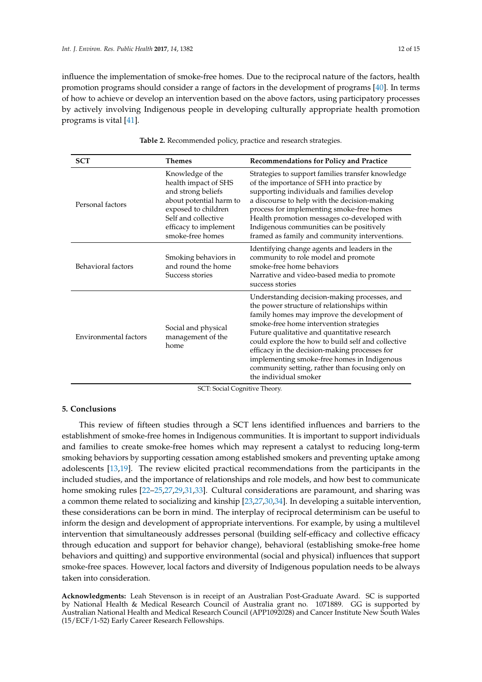influence the implementation of smoke-free homes. Due to the reciprocal nature of the factors, health promotion programs should consider a range of factors in the development of programs [\[40\]](#page-14-1). In terms of how to achieve or develop an intervention based on the above factors, using participatory processes by actively involving Indigenous people in developing culturally appropriate health promotion programs is vital [\[41\]](#page-14-2).

<span id="page-11-0"></span>

| <b>SCT</b>            | <b>Themes</b>                                                                                                                                                                        | <b>Recommendations for Policy and Practice</b>                                                                                                                                                                                                                                                                                                                                                                                                                          |
|-----------------------|--------------------------------------------------------------------------------------------------------------------------------------------------------------------------------------|-------------------------------------------------------------------------------------------------------------------------------------------------------------------------------------------------------------------------------------------------------------------------------------------------------------------------------------------------------------------------------------------------------------------------------------------------------------------------|
| Personal factors      | Knowledge of the<br>health impact of SHS<br>and strong beliefs<br>about potential harm to<br>exposed to children<br>Self and collective<br>efficacy to implement<br>smoke-free homes | Strategies to support families transfer knowledge<br>of the importance of SFH into practice by<br>supporting individuals and families develop<br>a discourse to help with the decision-making<br>process for implementing smoke-free homes<br>Health promotion messages co-developed with<br>Indigenous communities can be positively<br>framed as family and community interventions.                                                                                  |
| Behavioral factors    | Smoking behaviors in<br>and round the home<br>Success stories                                                                                                                        | Identifying change agents and leaders in the<br>community to role model and promote<br>smoke-free home behaviors<br>Narrative and video-based media to promote<br>success stories                                                                                                                                                                                                                                                                                       |
| Environmental factors | Social and physical<br>management of the<br>home                                                                                                                                     | Understanding decision-making processes, and<br>the power structure of relationships within<br>family homes may improve the development of<br>smoke-free home intervention strategies<br>Future qualitative and quantitative research<br>could explore the how to build self and collective<br>efficacy in the decision-making processes for<br>implementing smoke-free homes in Indigenous<br>community setting, rather than focusing only on<br>the individual smoker |

**Table 2.** Recommended policy, practice and research strategies.

SCT: Social Cognitive Theory.

#### **5. Conclusions**

This review of fifteen studies through a SCT lens identified influences and barriers to the establishment of smoke-free homes in Indigenous communities. It is important to support individuals and families to create smoke-free homes which may represent a catalyst to reducing long-term smoking behaviors by supporting cessation among established smokers and preventing uptake among adolescents [\[13,](#page-12-12)[19\]](#page-12-18). The review elicited practical recommendations from the participants in the included studies, and the importance of relationships and role models, and how best to communicate home smoking rules [\[22–](#page-13-2)[25,](#page-13-5)[27,](#page-13-25)[29,](#page-13-29)[31,](#page-13-7)[33\]](#page-13-30). Cultural considerations are paramount, and sharing was a common theme related to socializing and kinship [\[23,](#page-13-4)[27,](#page-13-25)[30](#page-13-3)[,34\]](#page-13-27). In developing a suitable intervention, these considerations can be born in mind. The interplay of reciprocal determinism can be useful to inform the design and development of appropriate interventions. For example, by using a multilevel intervention that simultaneously addresses personal (building self-efficacy and collective efficacy through education and support for behavior change), behavioral (establishing smoke-free home behaviors and quitting) and supportive environmental (social and physical) influences that support smoke-free spaces. However, local factors and diversity of Indigenous population needs to be always taken into consideration.

**Acknowledgments:** Leah Stevenson is in receipt of an Australian Post-Graduate Award. SC is supported by National Health & Medical Research Council of Australia grant no. 1071889. GG is supported by Australian National Health and Medical Research Council (APP1092028) and Cancer Institute New South Wales (15/ECF/1-52) Early Career Research Fellowships.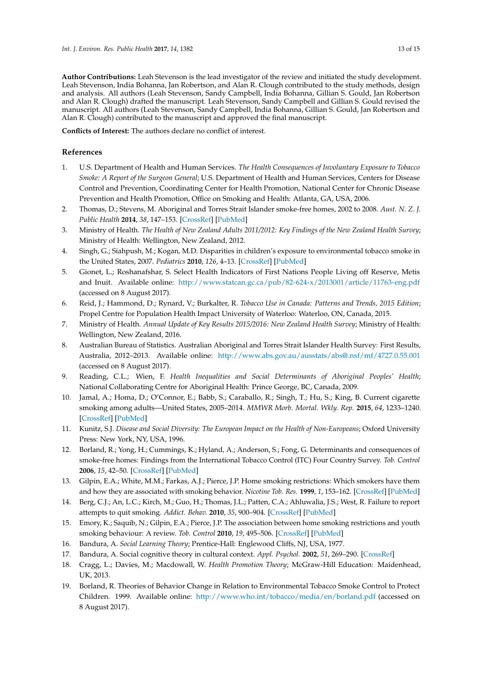**Author Contributions:** Leah Stevenson is the lead investigator of the review and initiated the study development. Leah Stevenson, India Bohanna, Jan Robertson, and Alan R. Clough contributed to the study methods, design and analysis. All authors (Leah Stevenson, Sandy Campbell, India Bohanna, Gillian S. Gould, Jan Robertson and Alan R. Clough) drafted the manuscript. Leah Stevenson, Sandy Campbell and Gillian S. Gould revised the manuscript. All authors (Leah Stevenson, Sandy Campbell, India Bohanna, Gillian S. Gould, Jan Robertson and Alan R. Clough) contributed to the manuscript and approved the final manuscript.

**Conflicts of Interest:** The authors declare no conflict of interest.

## **References**

- <span id="page-12-0"></span>1. U.S. Department of Health and Human Services. *The Health Consequences of Involuntary Exposure to Tobacco Smoke: A Report of the Surgeon General*; U.S. Department of Health and Human Services, Centers for Disease Control and Prevention, Coordinating Center for Health Promotion, National Center for Chronic Disease Prevention and Health Promotion, Office on Smoking and Health: Atlanta, GA, USA, 2006.
- <span id="page-12-1"></span>2. Thomas, D.; Stevens, M. Aboriginal and Torres Strait Islander smoke-free homes, 2002 to 2008. *Aust. N. Z. J. Public Health* **2014**, *38*, 147–153. [\[CrossRef\]](http://dx.doi.org/10.1111/1753-6405.12202) [\[PubMed\]](http://www.ncbi.nlm.nih.gov/pubmed/24690053)
- <span id="page-12-2"></span>3. Ministry of Health. *The Health of New Zealand Adults 2011/2012: Key Findings of the New Zealand Health Survey*; Ministry of Health: Wellington, New Zealand, 2012.
- <span id="page-12-3"></span>4. Singh, G.; Siahpush, M.; Kogan, M.D. Disparities in children's exposure to environmental tobacco smoke in the United States, 2007. *Pediatrics* **2010**, *126*, 4–13. [\[CrossRef\]](http://dx.doi.org/10.1542/peds.2009-2744) [\[PubMed\]](http://www.ncbi.nlm.nih.gov/pubmed/20587673)
- <span id="page-12-4"></span>5. Gionet, L.; Roshanafshar, S. Select Health Indicators of First Nations People Living off Reserve, Metis and Inuit. Available online: <http://www.statcan.gc.ca/pub/82-624-x/2013001/article/11763-eng.pdf> (accessed on 8 August 2017).
- <span id="page-12-5"></span>6. Reid, J.; Hammond, D.; Rynard, V.; Burkalter, R. *Tobacco Use in Canada: Patterns and Trends, 2015 Edition*; Propel Centre for Population Health Impact University of Waterloo: Waterloo, ON, Canada, 2015.
- <span id="page-12-6"></span>7. Ministry of Health. *Annual Update of Key Results 2015/2016: New Zealand Health Survey*; Ministry of Health: Wellington, New Zealand, 2016.
- <span id="page-12-7"></span>8. Australian Bureau of Statistics. Australian Aboriginal and Torres Strait Islander Health Survey: First Results, Australia, 2012–2013. Available online: <http://www.abs.gov.au/ausstats/abs@.nsf/mf/4727.0.55.001> (accessed on 8 August 2017).
- <span id="page-12-8"></span>9. Reading, C.L.; Wien, F. *Health Inequalities and Social Determinants of Aboriginal Peoples' Health*; National Collaborating Centre for Aboriginal Health: Prince George, BC, Canada, 2009.
- <span id="page-12-9"></span>10. Jamal, A.; Homa, D.; O'Connor, E.; Babb, S.; Caraballo, R.; Singh, T.; Hu, S.; King, B. Current cigarette smoking among adults—United States, 2005–2014. *MMWR Morb. Mortal. Wkly. Rep.* **2015**, *64*, 1233–1240. [\[CrossRef\]](http://dx.doi.org/10.15585/mmwr.mm6444a2) [\[PubMed\]](http://www.ncbi.nlm.nih.gov/pubmed/26562061)
- <span id="page-12-10"></span>11. Kunitz, S.J. *Disease and Social Diversity: The European Impact on the Health of Non-Europeans*; Oxford University Press: New York, NY, USA, 1996.
- <span id="page-12-11"></span>12. Borland, R.; Yong, H.; Cummings, K.; Hyland, A.; Anderson, S.; Fong, G. Determinants and consequences of smoke-free homes: Findings from the International Tobacco Control (ITC) Four Country Survey. *Tob. Control* **2006**, *15*, 42–50. [\[CrossRef\]](http://dx.doi.org/10.1136/tc.2005.012492) [\[PubMed\]](http://www.ncbi.nlm.nih.gov/pubmed/16754946)
- <span id="page-12-12"></span>13. Gilpin, E.A.; White, M.M.; Farkas, A.J.; Pierce, J.P. Home smoking restrictions: Which smokers have them and how they are associated with smoking behavior. *Nicotine Tob. Res.* **1999**, *1*, 153–162. [\[CrossRef\]](http://dx.doi.org/10.1080/14622299050011261) [\[PubMed\]](http://www.ncbi.nlm.nih.gov/pubmed/11072396)
- <span id="page-12-13"></span>14. Berg, C.J.; An, L.C.; Kirch, M.; Guo, H.; Thomas, J.L.; Patten, C.A.; Ahluwalia, J.S.; West, R. Failure to report attempts to quit smoking. *Addict. Behav.* **2010**, *35*, 900–904. [\[CrossRef\]](http://dx.doi.org/10.1016/j.addbeh.2010.06.009) [\[PubMed\]](http://www.ncbi.nlm.nih.gov/pubmed/20584571)
- <span id="page-12-14"></span>15. Emory, K.; Saquib, N.; Gilpin, E.A.; Pierce, J.P. The association between home smoking restrictions and youth smoking behaviour: A review. *Tob. Control* **2010**, *19*, 495–506. [\[CrossRef\]](http://dx.doi.org/10.1136/tc.2010.035998) [\[PubMed\]](http://www.ncbi.nlm.nih.gov/pubmed/20852326)
- <span id="page-12-15"></span>16. Bandura, A. *Social Learning Theory*; Prentice-Hall: Englewood Cliffs, NJ, USA, 1977.
- <span id="page-12-16"></span>17. Bandura, A. Social cognitive theory in cultural context. *Appl. Psychol.* **2002**, *51*, 269–290. [\[CrossRef\]](http://dx.doi.org/10.1111/1464-0597.00092)
- <span id="page-12-17"></span>18. Cragg, L.; Davies, M.; Macdowall, W. *Health Promotion Theory*; McGraw-Hill Education: Maidenhead, UK, 2013.
- <span id="page-12-18"></span>19. Borland, R. Theories of Behavior Change in Relation to Environmental Tobacco Smoke Control to Protect Children. 1999. Available online: <http://www.who.int/tobacco/media/en/borland.pdf> (accessed on 8 August 2017).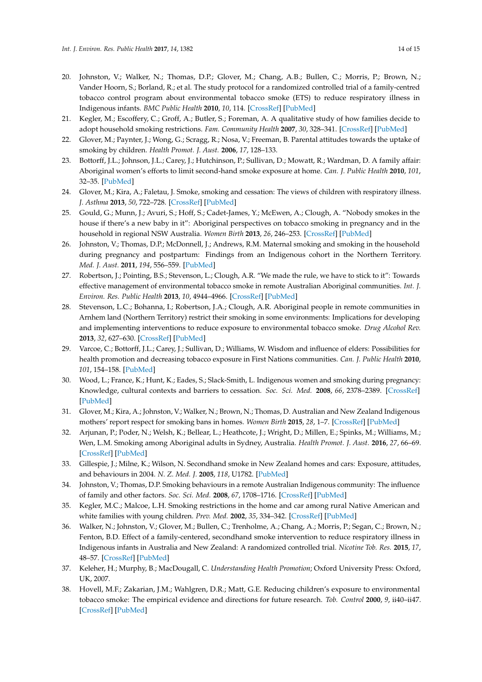- <span id="page-13-18"></span><span id="page-13-16"></span><span id="page-13-14"></span><span id="page-13-12"></span><span id="page-13-11"></span><span id="page-13-9"></span><span id="page-13-0"></span>20. Johnston, V.; Walker, N.; Thomas, D.P.; Glover, M.; Chang, A.B.; Bullen, C.; Morris, P.; Brown, N.; Vander Hoorn, S.; Borland, R.; et al. The study protocol for a randomized controlled trial of a family-centred tobacco control program about environmental tobacco smoke (ETS) to reduce respiratory illness in Indigenous infants. *BMC Public Health* **2010**, *10*, 114. [\[CrossRef\]](http://dx.doi.org/10.1186/1471-2458-10-114) [\[PubMed\]](http://www.ncbi.nlm.nih.gov/pubmed/20205950)
- <span id="page-13-19"></span><span id="page-13-1"></span>21. Kegler, M.; Escoffery, C.; Groff, A.; Butler, S.; Foreman, A. A qualitative study of how families decide to adopt household smoking restrictions. *Fam. Community Health* **2007**, *30*, 328–341. [\[CrossRef\]](http://dx.doi.org/10.1097/01.FCH.0000290545.56199.c9) [\[PubMed\]](http://www.ncbi.nlm.nih.gov/pubmed/17873639)
- <span id="page-13-20"></span><span id="page-13-2"></span>22. Glover, M.; Paynter, J.; Wong, G.; Scragg, R.; Nosa, V.; Freeman, B. Parental attitudes towards the uptake of smoking by children. *Health Promot. J. Aust.* **2006**, *17*, 128–133.
- <span id="page-13-22"></span><span id="page-13-4"></span>23. Bottorff, J.L.; Johnson, J.L.; Carey, J.; Hutchinson, P.; Sullivan, D.; Mowatt, R.; Wardman, D. A family affair: Aboriginal women's efforts to limit second-hand smoke exposure at home. *Can. J. Public Health* **2010**, *101*, 32–35. [\[PubMed\]](http://www.ncbi.nlm.nih.gov/pubmed/20364535)
- 24. Glover, M.; Kira, A.; Faletau, J. Smoke, smoking and cessation: The views of children with respiratory illness. *J. Asthma* **2013**, *50*, 722–728. [\[CrossRef\]](http://dx.doi.org/10.3109/02770903.2013.807432) [\[PubMed\]](http://www.ncbi.nlm.nih.gov/pubmed/23692472)
- <span id="page-13-13"></span><span id="page-13-5"></span>25. Gould, G.; Munn, J.; Avuri, S.; Hoff, S.; Cadet-James, Y.; McEwen, A.; Clough, A. "Nobody smokes in the house if there's a new baby in it": Aboriginal perspectives on tobacco smoking in pregnancy and in the household in regional NSW Australia. *Women Birth* **2013**, *26*, 246–253. [\[CrossRef\]](http://dx.doi.org/10.1016/j.wombi.2013.08.006) [\[PubMed\]](http://www.ncbi.nlm.nih.gov/pubmed/24011470)
- <span id="page-13-8"></span><span id="page-13-6"></span>26. Johnston, V.; Thomas, D.P.; McDonnell, J.; Andrews, R.M. Maternal smoking and smoking in the household during pregnancy and postpartum: Findings from an Indigenous cohort in the Northern Territory. *Med. J. Aust.* **2011**, *194*, 556–559. [\[PubMed\]](http://www.ncbi.nlm.nih.gov/pubmed/21644912)
- <span id="page-13-25"></span><span id="page-13-15"></span><span id="page-13-10"></span>27. Robertson, J.; Pointing, B.S.; Stevenson, L.; Clough, A.R. "We made the rule, we have to stick to it": Towards effective management of environmental tobacco smoke in remote Australian Aboriginal communities. *Int. J. Environ. Res. Public Health* **2013**, *10*, 4944–4966. [\[CrossRef\]](http://dx.doi.org/10.3390/ijerph10104944) [\[PubMed\]](http://www.ncbi.nlm.nih.gov/pubmed/24157514)
- <span id="page-13-24"></span><span id="page-13-21"></span><span id="page-13-17"></span>28. Stevenson, L.C.; Bohanna, I.; Robertson, J.A.; Clough, A.R. Aboriginal people in remote communities in Arnhem land (Northern Territory) restrict their smoking in some environments: Implications for developing and implementing interventions to reduce exposure to environmental tobacco smoke. *Drug Alcohol Rev.* **2013**, *32*, 627–630. [\[CrossRef\]](http://dx.doi.org/10.1111/dar.12070) [\[PubMed\]](http://www.ncbi.nlm.nih.gov/pubmed/23968335)
- <span id="page-13-29"></span>29. Varcoe, C.; Bottorff, J.L.; Carey, J.; Sullivan, D.; Williams, W. Wisdom and influence of elders: Possibilities for health promotion and decreasing tobacco exposure in First Nations communities. *Can. J. Public Health* **2010**, *101*, 154–158. [\[PubMed\]](http://www.ncbi.nlm.nih.gov/pubmed/20524382)
- <span id="page-13-3"></span>30. Wood, L.; France, K.; Hunt, K.; Eades, S.; Slack-Smith, L. Indigenous women and smoking during pregnancy: Knowledge, cultural contexts and barriers to cessation. *Soc. Sci. Med.* **2008**, *66*, 2378–2389. [\[CrossRef\]](http://dx.doi.org/10.1016/j.socscimed.2008.01.024) [\[PubMed\]](http://www.ncbi.nlm.nih.gov/pubmed/18313186)
- <span id="page-13-7"></span>31. Glover, M.; Kira, A.; Johnston, V.; Walker, N.; Brown, N.; Thomas, D. Australian and New Zealand Indigenous mothers' report respect for smoking bans in homes. *Women Birth* **2015**, *28*, 1–7. [\[CrossRef\]](http://dx.doi.org/10.1016/j.wombi.2014.09.004) [\[PubMed\]](http://www.ncbi.nlm.nih.gov/pubmed/25458756)
- <span id="page-13-28"></span>32. Arjunan, P.; Poder, N.; Welsh, K.; Bellear, L.; Heathcote, J.; Wright, D.; Millen, E.; Spinks, M.; Williams, M.; Wen, L.M. Smoking among Aboriginal adults in Sydney, Australia. *Health Promot. J. Aust.* **2016**, *27*, 66–69. [\[CrossRef\]](http://dx.doi.org/10.1071/HE15020) [\[PubMed\]](http://www.ncbi.nlm.nih.gov/pubmed/26235612)
- <span id="page-13-30"></span>33. Gillespie, J.; Milne, K.; Wilson, N. Secondhand smoke in New Zealand homes and cars: Exposure, attitudes, and behaviours in 2004. *N. Z. Med. J.* **2005**, *118*, U1782. [\[PubMed\]](http://www.ncbi.nlm.nih.gov/pubmed/16372031)
- <span id="page-13-27"></span>34. Johnston, V.; Thomas, D.P. Smoking behaviours in a remote Australian Indigenous community: The influence of family and other factors. *Soc. Sci. Med.* **2008**, *67*, 1708–1716. [\[CrossRef\]](http://dx.doi.org/10.1016/j.socscimed.2008.09.016) [\[PubMed\]](http://www.ncbi.nlm.nih.gov/pubmed/18938006)
- <span id="page-13-23"></span>35. Kegler, M.C.; Malcoe, L.H. Smoking restrictions in the home and car among rural Native American and white families with young children. *Prev. Med.* **2002**, *35*, 334–342. [\[CrossRef\]](http://dx.doi.org/10.1006/pmed.2002.1091) [\[PubMed\]](http://www.ncbi.nlm.nih.gov/pubmed/12453710)
- <span id="page-13-26"></span>36. Walker, N.; Johnston, V.; Glover, M.; Bullen, C.; Trenholme, A.; Chang, A.; Morris, P.; Segan, C.; Brown, N.; Fenton, B.D. Effect of a family-centered, secondhand smoke intervention to reduce respiratory illness in Indigenous infants in Australia and New Zealand: A randomized controlled trial. *Nicotine Tob. Res.* **2015**, *17*, 48–57. [\[CrossRef\]](http://dx.doi.org/10.1093/ntr/ntu128) [\[PubMed\]](http://www.ncbi.nlm.nih.gov/pubmed/25156527)
- <span id="page-13-31"></span>37. Keleher, H.; Murphy, B.; MacDougall, C. *Understanding Health Promotion*; Oxford University Press: Oxford, UK, 2007.
- <span id="page-13-32"></span>38. Hovell, M.F.; Zakarian, J.M.; Wahlgren, D.R.; Matt, G.E. Reducing children's exposure to environmental tobacco smoke: The empirical evidence and directions for future research. *Tob. Control* **2000**, *9*, ii40–ii47. [\[CrossRef\]](http://dx.doi.org/10.1136/tc.9.suppl_2.ii40) [\[PubMed\]](http://www.ncbi.nlm.nih.gov/pubmed/10841590)